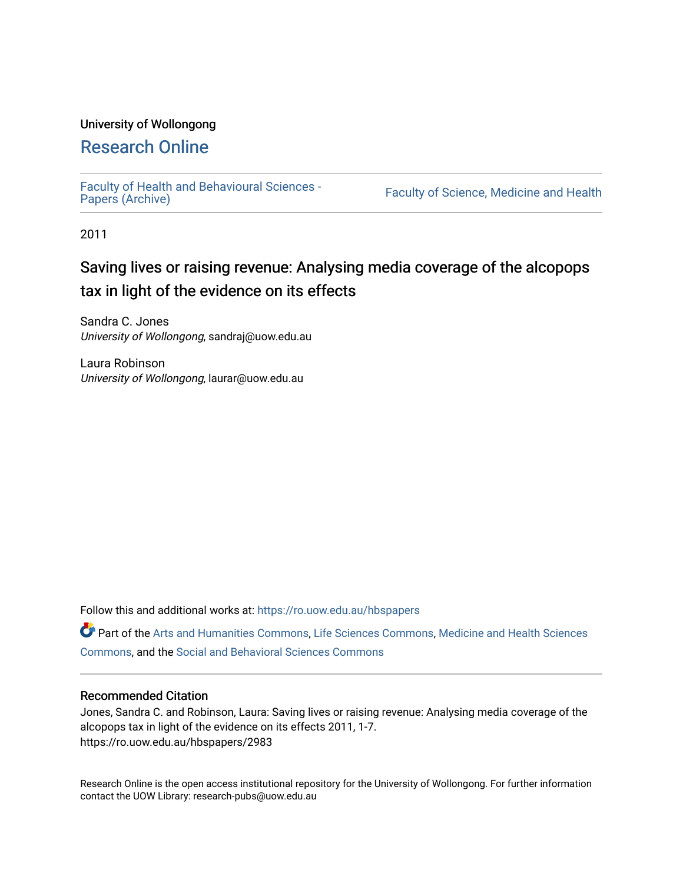# University of Wollongong

# [Research Online](https://ro.uow.edu.au/)

[Faculty of Health and Behavioural Sciences -](https://ro.uow.edu.au/hbspapers)<br>Papers (Archive)

Faculty of Science, Medicine and Health

2011

# Saving lives or raising revenue: Analysing media coverage of the alcopops tax in light of the evidence on its effects

Sandra C. Jones University of Wollongong, sandraj@uow.edu.au

Laura Robinson University of Wollongong, laurar@uow.edu.au

Follow this and additional works at: [https://ro.uow.edu.au/hbspapers](https://ro.uow.edu.au/hbspapers?utm_source=ro.uow.edu.au%2Fhbspapers%2F2983&utm_medium=PDF&utm_campaign=PDFCoverPages) 

Part of the [Arts and Humanities Commons,](http://network.bepress.com/hgg/discipline/438?utm_source=ro.uow.edu.au%2Fhbspapers%2F2983&utm_medium=PDF&utm_campaign=PDFCoverPages) [Life Sciences Commons,](http://network.bepress.com/hgg/discipline/1016?utm_source=ro.uow.edu.au%2Fhbspapers%2F2983&utm_medium=PDF&utm_campaign=PDFCoverPages) [Medicine and Health Sciences](http://network.bepress.com/hgg/discipline/648?utm_source=ro.uow.edu.au%2Fhbspapers%2F2983&utm_medium=PDF&utm_campaign=PDFCoverPages) [Commons](http://network.bepress.com/hgg/discipline/648?utm_source=ro.uow.edu.au%2Fhbspapers%2F2983&utm_medium=PDF&utm_campaign=PDFCoverPages), and the [Social and Behavioral Sciences Commons](http://network.bepress.com/hgg/discipline/316?utm_source=ro.uow.edu.au%2Fhbspapers%2F2983&utm_medium=PDF&utm_campaign=PDFCoverPages)

#### Recommended Citation

Jones, Sandra C. and Robinson, Laura: Saving lives or raising revenue: Analysing media coverage of the alcopops tax in light of the evidence on its effects 2011, 1-7. https://ro.uow.edu.au/hbspapers/2983

Research Online is the open access institutional repository for the University of Wollongong. For further information contact the UOW Library: research-pubs@uow.edu.au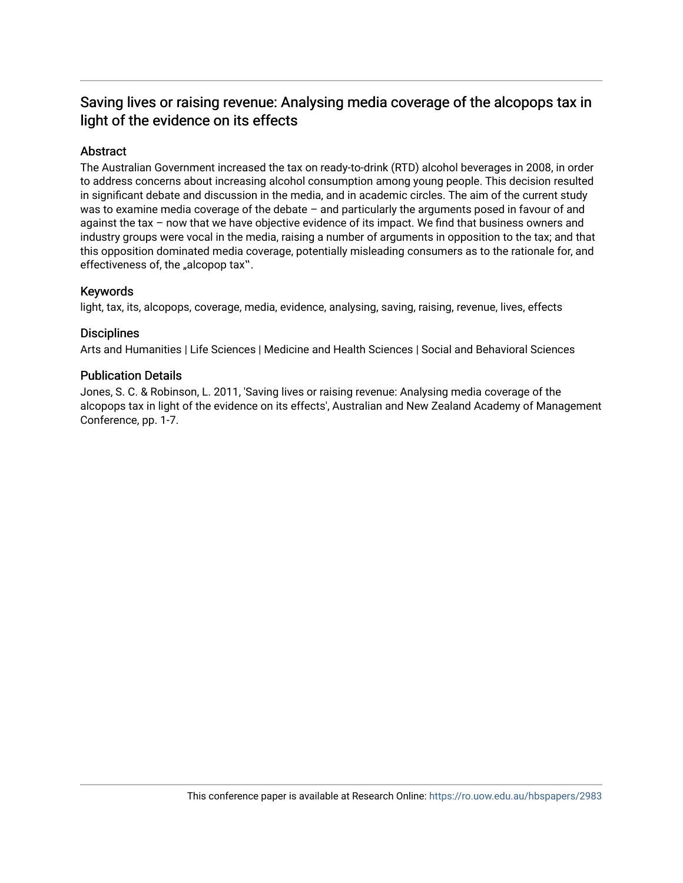# Saving lives or raising revenue: Analysing media coverage of the alcopops tax in light of the evidence on its effects

# Abstract

The Australian Government increased the tax on ready-to-drink (RTD) alcohol beverages in 2008, in order to address concerns about increasing alcohol consumption among young people. This decision resulted in significant debate and discussion in the media, and in academic circles. The aim of the current study was to examine media coverage of the debate – and particularly the arguments posed in favour of and against the tax – now that we have objective evidence of its impact. We find that business owners and industry groups were vocal in the media, raising a number of arguments in opposition to the tax; and that this opposition dominated media coverage, potentially misleading consumers as to the rationale for, and effectiveness of, the "alcopop tax".

#### Keywords

light, tax, its, alcopops, coverage, media, evidence, analysing, saving, raising, revenue, lives, effects

#### **Disciplines**

Arts and Humanities | Life Sciences | Medicine and Health Sciences | Social and Behavioral Sciences

#### Publication Details

Jones, S. C. & Robinson, L. 2011, 'Saving lives or raising revenue: Analysing media coverage of the alcopops tax in light of the evidence on its effects', Australian and New Zealand Academy of Management Conference, pp. 1-7.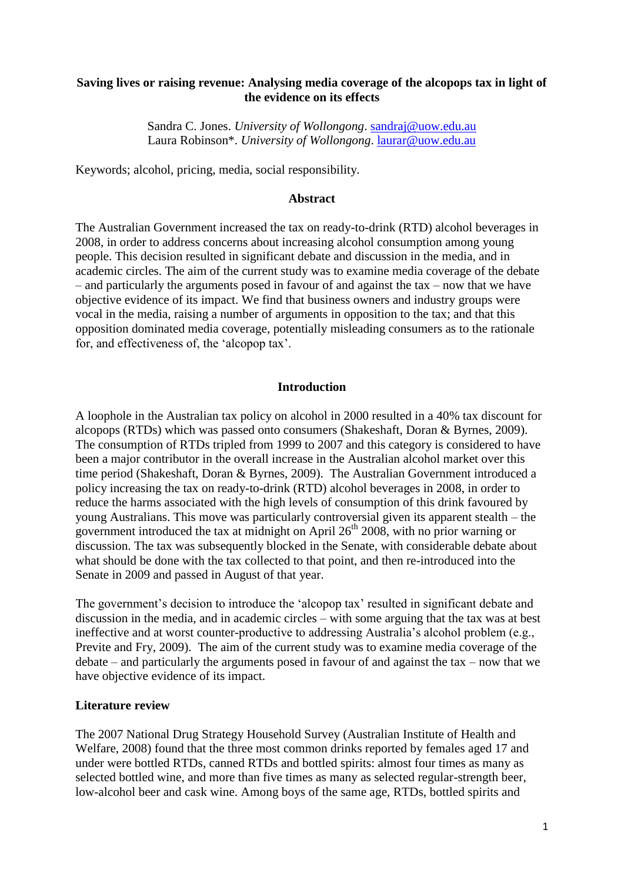# **Saving lives or raising revenue: Analysing media coverage of the alcopops tax in light of the evidence on its effects**

Sandra C. Jones. *University of Wollongong*. [sandraj@uow.edu.au](mailto:sandraj@uow.edu.au) Laura Robinson\*. *University of Wollongong*. [laurar@uow.edu.au](mailto:laurar@uow.edu.au)

Keywords; alcohol, pricing, media, social responsibility.

#### **Abstract**

The Australian Government increased the tax on ready-to-drink (RTD) alcohol beverages in 2008, in order to address concerns about increasing alcohol consumption among young people. This decision resulted in significant debate and discussion in the media, and in academic circles. The aim of the current study was to examine media coverage of the debate – and particularly the arguments posed in favour of and against the tax – now that we have objective evidence of its impact. We find that business owners and industry groups were vocal in the media, raising a number of arguments in opposition to the tax; and that this opposition dominated media coverage, potentially misleading consumers as to the rationale for, and effectiveness of, the "alcopop tax".

# **Introduction**

A loophole in the Australian tax policy on alcohol in 2000 resulted in a 40% tax discount for alcopops (RTDs) which was passed onto consumers (Shakeshaft, Doran & Byrnes, 2009). The consumption of RTDs tripled from 1999 to 2007 and this category is considered to have been a major contributor in the overall increase in the Australian alcohol market over this time period (Shakeshaft, Doran & Byrnes, 2009). The Australian Government introduced a policy increasing the tax on ready-to-drink (RTD) alcohol beverages in 2008, in order to reduce the harms associated with the high levels of consumption of this drink favoured by young Australians. This move was particularly controversial given its apparent stealth – the government introduced the tax at midnight on April  $26<sup>th</sup>$  2008, with no prior warning or discussion. The tax was subsequently blocked in the Senate, with considerable debate about what should be done with the tax collected to that point, and then re-introduced into the Senate in 2009 and passed in August of that year.

The government's decision to introduce the 'alcopop tax' resulted in significant debate and discussion in the media, and in academic circles – with some arguing that the tax was at best ineffective and at worst counter-productive to addressing Australia's alcohol problem (e.g., Previte and Fry, 2009). The aim of the current study was to examine media coverage of the debate – and particularly the arguments posed in favour of and against the tax – now that we have objective evidence of its impact.

### **Literature review**

The 2007 National Drug Strategy Household Survey (Australian Institute of Health and Welfare, 2008) found that the three most common drinks reported by females aged 17 and under were bottled RTDs, canned RTDs and bottled spirits: almost four times as many as selected bottled wine, and more than five times as many as selected regular-strength beer, low-alcohol beer and cask wine. Among boys of the same age, RTDs, bottled spirits and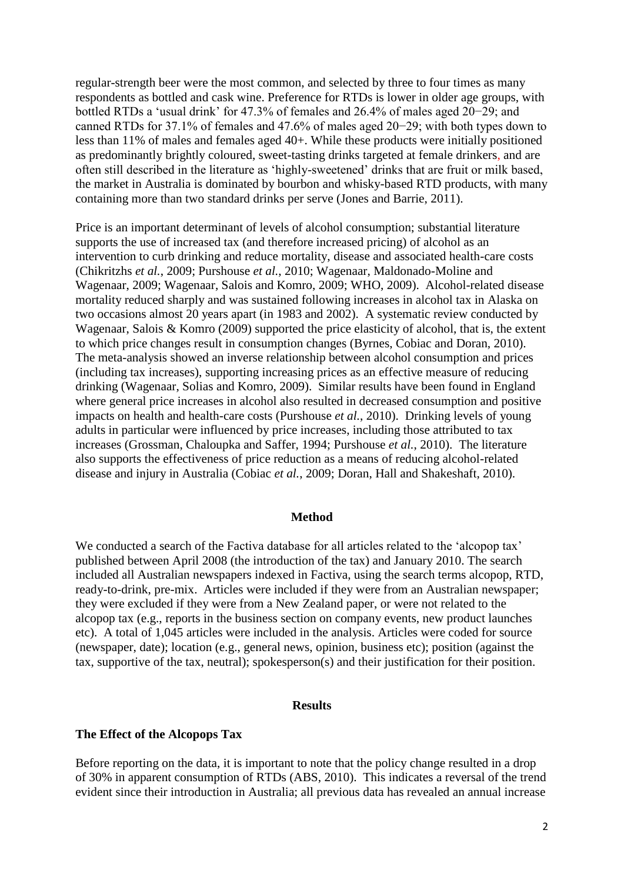regular-strength beer were the most common, and selected by three to four times as many respondents as bottled and cask wine. Preference for RTDs is lower in older age groups, with bottled RTDs a "usual drink" for 47.3% of females and 26.4% of males aged 20−29; and canned RTDs for 37.1% of females and 47.6% of males aged 20−29; with both types down to less than 11% of males and females aged 40+. While these products were initially positioned as predominantly brightly coloured, sweet-tasting drinks targeted at female drinkers, and are often still described in the literature as "highly-sweetened" drinks that are fruit or milk based, the market in Australia is dominated by bourbon and whisky-based RTD products, with many containing more than two standard drinks per serve (Jones and Barrie, 2011).

Price is an important determinant of levels of alcohol consumption; substantial literature supports the use of increased tax (and therefore increased pricing) of alcohol as an intervention to curb drinking and reduce mortality, disease and associated health-care costs (Chikritzhs *et al.*, 2009; Purshouse *et al.*, 2010; Wagenaar, Maldonado-Moline and Wagenaar, 2009; Wagenaar, Salois and Komro, 2009; WHO, 2009). Alcohol-related disease mortality reduced sharply and was sustained following increases in alcohol tax in Alaska on two occasions almost 20 years apart (in 1983 and 2002). A systematic review conducted by Wagenaar, Salois & Komro (2009) supported the price elasticity of alcohol, that is, the extent to which price changes result in consumption changes (Byrnes, Cobiac and Doran, 2010). The meta-analysis showed an inverse relationship between alcohol consumption and prices (including tax increases), supporting increasing prices as an effective measure of reducing drinking (Wagenaar, Solias and Komro, 2009). Similar results have been found in England where general price increases in alcohol also resulted in decreased consumption and positive impacts on health and health-care costs (Purshouse *et al.*, 2010). Drinking levels of young adults in particular were influenced by price increases, including those attributed to tax increases (Grossman, Chaloupka and Saffer, 1994; Purshouse *et al.*, 2010). The literature also supports the effectiveness of price reduction as a means of reducing alcohol-related disease and injury in Australia (Cobiac *et al.*, 2009; Doran, Hall and Shakeshaft, 2010).

#### **Method**

We conducted a search of the Factiva database for all articles related to the 'alcopop tax' published between April 2008 (the introduction of the tax) and January 2010. The search included all Australian newspapers indexed in Factiva, using the search terms alcopop, RTD, ready-to-drink, pre-mix. Articles were included if they were from an Australian newspaper; they were excluded if they were from a New Zealand paper, or were not related to the alcopop tax (e.g., reports in the business section on company events, new product launches etc). A total of 1,045 articles were included in the analysis. Articles were coded for source (newspaper, date); location (e.g., general news, opinion, business etc); position (against the tax, supportive of the tax, neutral); spokesperson(s) and their justification for their position.

# **Results**

#### **The Effect of the Alcopops Tax**

Before reporting on the data, it is important to note that the policy change resulted in a drop of 30% in apparent consumption of RTDs (ABS, 2010). This indicates a reversal of the trend evident since their introduction in Australia; all previous data has revealed an annual increase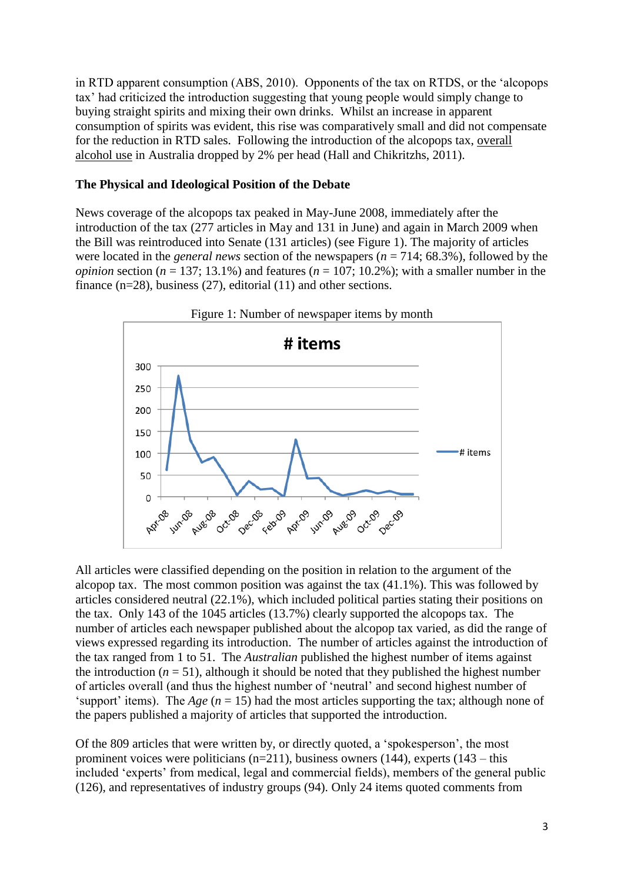in RTD apparent consumption (ABS, 2010). Opponents of the tax on RTDS, or the "alcopops tax" had criticized the introduction suggesting that young people would simply change to buying straight spirits and mixing their own drinks. Whilst an increase in apparent consumption of spirits was evident, this rise was comparatively small and did not compensate for the reduction in RTD sales. Following the introduction of the alcopops tax, overall alcohol use in Australia dropped by 2% per head (Hall and Chikritzhs, 2011).

# **The Physical and Ideological Position of the Debate**

News coverage of the alcopops tax peaked in May-June 2008, immediately after the introduction of the tax (277 articles in May and 131 in June) and again in March 2009 when the Bill was reintroduced into Senate (131 articles) (see Figure 1). The majority of articles were located in the *general news* section of the newspapers (*n* = 714; 68.3%), followed by the *opinion* section ( $n = 137$ ; 13.1%) and features ( $n = 107$ ; 10.2%); with a smaller number in the finance (n=28), business (27), editorial (11) and other sections.



All articles were classified depending on the position in relation to the argument of the alcopop tax. The most common position was against the tax (41.1%). This was followed by articles considered neutral (22.1%), which included political parties stating their positions on the tax. Only 143 of the 1045 articles (13.7%) clearly supported the alcopops tax. The number of articles each newspaper published about the alcopop tax varied, as did the range of views expressed regarding its introduction. The number of articles against the introduction of the tax ranged from 1 to 51. The *Australian* published the highest number of items against the introduction ( $n = 51$ ), although it should be noted that they published the highest number of articles overall (and thus the highest number of "neutral" and second highest number of 'support' items). The *Age*  $(n = 15)$  had the most articles supporting the tax; although none of the papers published a majority of articles that supported the introduction.

Of the 809 articles that were written by, or directly quoted, a "spokesperson", the most prominent voices were politicians  $(n=211)$ , business owners (144), experts (143 – this included 'experts' from medical, legal and commercial fields), members of the general public (126), and representatives of industry groups (94). Only 24 items quoted comments from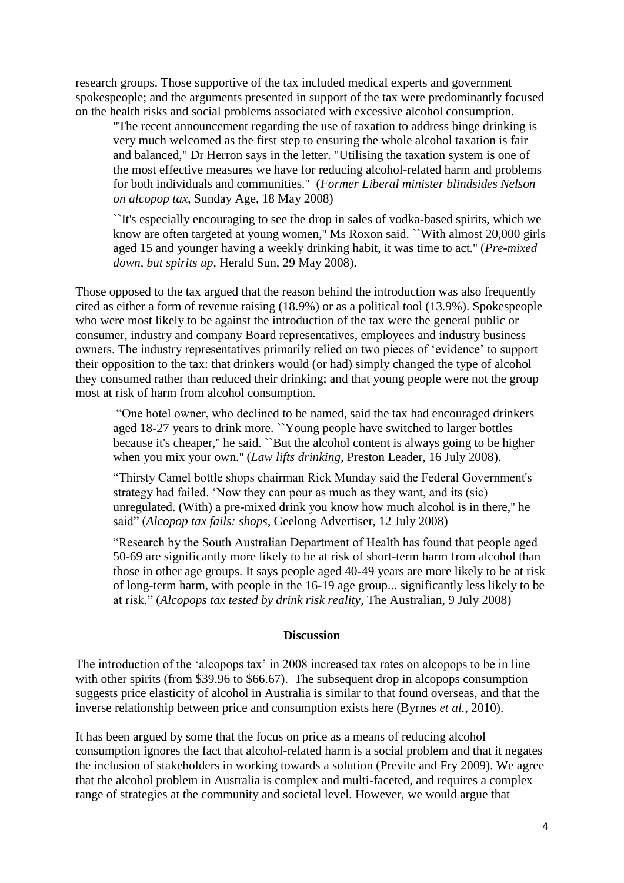research groups. Those supportive of the tax included medical experts and government spokespeople; and the arguments presented in support of the tax were predominantly focused on the health risks and social problems associated with excessive alcohol consumption.

"The recent announcement regarding the use of taxation to address binge drinking is very much welcomed as the first step to ensuring the whole alcohol taxation is fair and balanced," Dr Herron says in the letter. "Utilising the taxation system is one of the most effective measures we have for reducing alcohol-related harm and problems for both individuals and communities." (*Former Liberal minister blindsides Nelson on alcopop tax*, Sunday Age, 18 May 2008)

``It's especially encouraging to see the drop in sales of vodka-based spirits, which we know are often targeted at young women,'' Ms Roxon said. ``With almost 20,000 girls aged 15 and younger having a weekly drinking habit, it was time to act.'' (*Pre-mixed down, but spirits up*, Herald Sun, 29 May 2008).

Those opposed to the tax argued that the reason behind the introduction was also frequently cited as either a form of revenue raising (18.9%) or as a political tool (13.9%). Spokespeople who were most likely to be against the introduction of the tax were the general public or consumer, industry and company Board representatives, employees and industry business owners. The industry representatives primarily relied on two pieces of "evidence" to support their opposition to the tax: that drinkers would (or had) simply changed the type of alcohol they consumed rather than reduced their drinking; and that young people were not the group most at risk of harm from alcohol consumption.

"One hotel owner, who declined to be named, said the tax had encouraged drinkers aged 18-27 years to drink more. ``Young people have switched to larger bottles because it's cheaper,'' he said. ``But the alcohol content is always going to be higher when you mix your own.'' (*Law lifts drinking*, Preston Leader, 16 July 2008).

"Thirsty Camel bottle shops chairman Rick Munday said the Federal Government's strategy had failed. "Now they can pour as much as they want, and its (sic) unregulated. (With) a pre-mixed drink you know how much alcohol is in there,'' he said" (*Alcopop tax fails: shops*, Geelong Advertiser, 12 July 2008)

"Research by the South Australian Department of Health has found that people aged 50-69 are significantly more likely to be at risk of short-term harm from alcohol than those in other age groups. It says people aged 40-49 years are more likely to be at risk of long-term harm, with people in the 16-19 age group... significantly less likely to be at risk." (*Alcopops tax tested by drink risk reality*, The Australian, 9 July 2008)

#### **Discussion**

The introduction of the "alcopops tax" in 2008 increased tax rates on alcopops to be in line with other spirits (from \$39.96 to \$66.67). The subsequent drop in alcopops consumption suggests price elasticity of alcohol in Australia is similar to that found overseas, and that the inverse relationship between price and consumption exists here (Byrnes *et al.*, 2010).

It has been argued by some that the focus on price as a means of reducing alcohol consumption ignores the fact that alcohol-related harm is a social problem and that it negates the inclusion of stakeholders in working towards a solution (Previte and Fry 2009). We agree that the alcohol problem in Australia is complex and multi-faceted, and requires a complex range of strategies at the community and societal level. However, we would argue that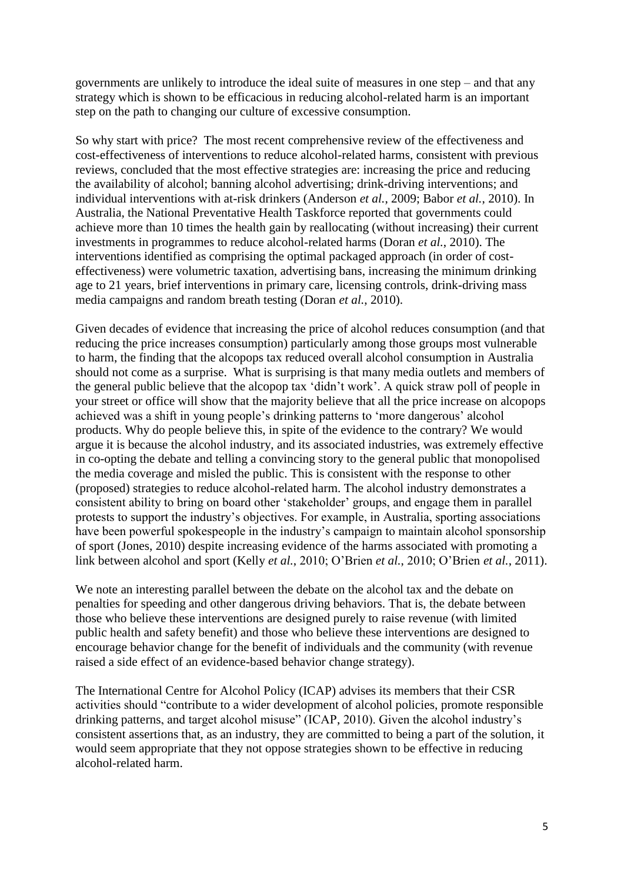governments are unlikely to introduce the ideal suite of measures in one step – and that any strategy which is shown to be efficacious in reducing alcohol-related harm is an important step on the path to changing our culture of excessive consumption.

So why start with price? The most recent comprehensive review of the effectiveness and cost-effectiveness of interventions to reduce alcohol-related harms, consistent with previous reviews, concluded that the most effective strategies are: increasing the price and reducing the availability of alcohol; banning alcohol advertising; drink-driving interventions; and individual interventions with at-risk drinkers (Anderson *et al.*, 2009; Babor *et al.*, 2010). In Australia, the National Preventative Health Taskforce reported that governments could achieve more than 10 times the health gain by reallocating (without increasing) their current investments in programmes to reduce alcohol-related harms (Doran *et al.*, 2010). The interventions identified as comprising the optimal packaged approach (in order of costeffectiveness) were volumetric taxation, advertising bans, increasing the minimum drinking age to 21 years, brief interventions in primary care, licensing controls, drink-driving mass media campaigns and random breath testing (Doran *et al.*, 2010).

Given decades of evidence that increasing the price of alcohol reduces consumption (and that reducing the price increases consumption) particularly among those groups most vulnerable to harm, the finding that the alcopops tax reduced overall alcohol consumption in Australia should not come as a surprise. What is surprising is that many media outlets and members of the general public believe that the alcopop tax "didn"t work". A quick straw poll of people in your street or office will show that the majority believe that all the price increase on alcopops achieved was a shift in young people"s drinking patterns to "more dangerous" alcohol products. Why do people believe this, in spite of the evidence to the contrary? We would argue it is because the alcohol industry, and its associated industries, was extremely effective in co-opting the debate and telling a convincing story to the general public that monopolised the media coverage and misled the public. This is consistent with the response to other (proposed) strategies to reduce alcohol-related harm. The alcohol industry demonstrates a consistent ability to bring on board other "stakeholder" groups, and engage them in parallel protests to support the industry"s objectives. For example, in Australia, sporting associations have been powerful spokespeople in the industry"s campaign to maintain alcohol sponsorship of sport (Jones, 2010) despite increasing evidence of the harms associated with promoting a link between alcohol and sport (Kelly *et al.*, 2010; O"Brien *et al.*, 2010; O"Brien *et al.*, 2011).

We note an interesting parallel between the debate on the alcohol tax and the debate on penalties for speeding and other dangerous driving behaviors. That is, the debate between those who believe these interventions are designed purely to raise revenue (with limited public health and safety benefit) and those who believe these interventions are designed to encourage behavior change for the benefit of individuals and the community (with revenue raised a side effect of an evidence-based behavior change strategy).

The International Centre for Alcohol Policy (ICAP) advises its members that their CSR activities should "contribute to a wider development of alcohol policies, promote responsible drinking patterns, and target alcohol misuse" (ICAP, 2010). Given the alcohol industry"s consistent assertions that, as an industry, they are committed to being a part of the solution, it would seem appropriate that they not oppose strategies shown to be effective in reducing alcohol-related harm.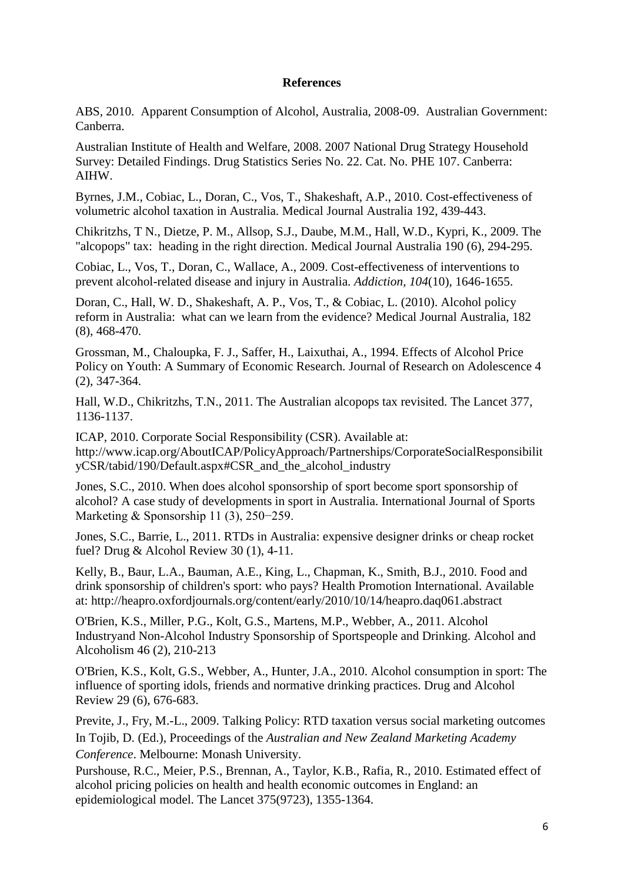# **References**

ABS, 2010. Apparent Consumption of Alcohol, Australia, 2008-09. Australian Government: Canberra.

Australian Institute of Health and Welfare, 2008. 2007 National Drug Strategy Household Survey: Detailed Findings. Drug Statistics Series No. 22. Cat. No. PHE 107. Canberra: AIHW.

Byrnes, J.M., Cobiac, L., Doran, C., Vos, T., Shakeshaft, A.P., 2010. Cost-effectiveness of volumetric alcohol taxation in Australia. Medical Journal Australia 192, 439-443.

Chikritzhs, T N., Dietze, P. M., Allsop, S.J., Daube, M.M., Hall, W.D., Kypri, K., 2009. The "alcopops" tax: heading in the right direction. Medical Journal Australia 190 (6), 294-295.

Cobiac, L., Vos, T., Doran, C., Wallace, A., 2009. Cost-effectiveness of interventions to prevent alcohol-related disease and injury in Australia. *Addiction, 104*(10), 1646-1655.

Doran, C., Hall, W. D., Shakeshaft, A. P., Vos, T., & Cobiac, L. (2010). Alcohol policy reform in Australia: what can we learn from the evidence? Medical Journal Australia, 182 (8), 468-470.

Grossman, M., Chaloupka, F. J., Saffer, H., Laixuthai, A., 1994. Effects of Alcohol Price Policy on Youth: A Summary of Economic Research. Journal of Research on Adolescence 4 (2), 347-364.

Hall, W.D., Chikritzhs, T.N., 2011. The Australian alcopops tax revisited. The Lancet 377, 1136-1137.

ICAP, 2010. Corporate Social Responsibility (CSR). Available at: http://www.icap.org/AboutICAP/PolicyApproach/Partnerships/CorporateSocialResponsibilit yCSR/tabid/190/Default.aspx#CSR\_and\_the\_alcohol\_industry

Jones, S.C., 2010. When does alcohol sponsorship of sport become sport sponsorship of alcohol? A case study of developments in sport in Australia. International Journal of Sports Marketing & Sponsorship 11 (3), 250−259.

Jones, S.C., Barrie, L., 2011. RTDs in Australia: expensive designer drinks or cheap rocket fuel? Drug & Alcohol Review 30 (1), 4-11.

Kelly, B., Baur, L.A., Bauman, A.E., King, L., Chapman, K., Smith, B.J., 2010. Food and drink sponsorship of children's sport: who pays? Health Promotion International. Available at: http://heapro.oxfordjournals.org/content/early/2010/10/14/heapro.daq061.abstract

O'Brien, K.S., Miller, P.G., Kolt, G.S., Martens, M.P., Webber, A., 2011. Alcohol Industryand Non-Alcohol Industry Sponsorship of Sportspeople and Drinking. Alcohol and Alcoholism 46 (2), 210-213

O'Brien, K.S., Kolt, G.S., Webber, A., Hunter, J.A., 2010. Alcohol consumption in sport: The influence of sporting idols, friends and normative drinking practices. Drug and Alcohol Review 29 (6), 676-683.

Previte, J., Fry, M.-L., 2009. Talking Policy: RTD taxation versus social marketing outcomes In Tojib, D. (Ed.), Proceedings of the *Australian and New Zealand Marketing Academy Conference*. Melbourne: Monash University.

Purshouse, R.C., Meier, P.S., Brennan, A., Taylor, K.B., Rafia, R., 2010. Estimated effect of alcohol pricing policies on health and health economic outcomes in England: an epidemiological model. The Lancet 375(9723), 1355-1364.